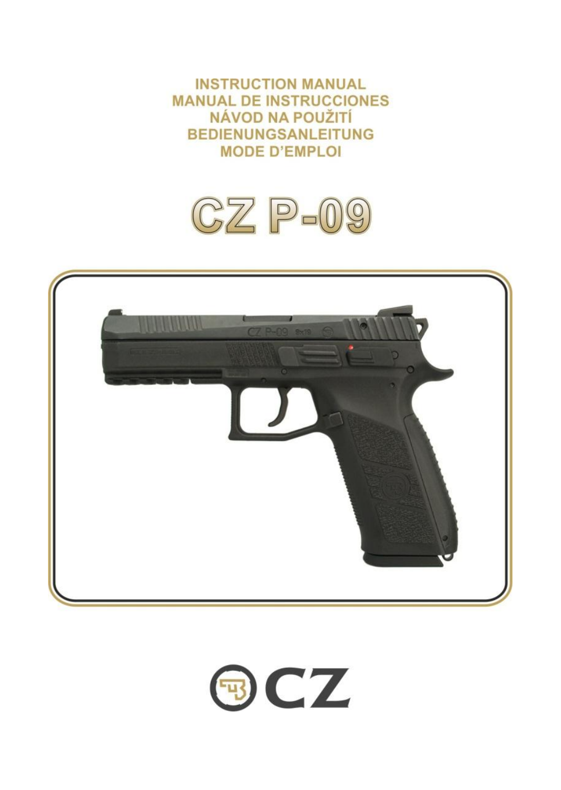**INSTRUCTION MANUAL MANUAL DE INSTRUCCIONES** NÁVOD NA POUŽITÍ **BEDIENUNGSANLEITUNG MODE D'EMPLOI** 





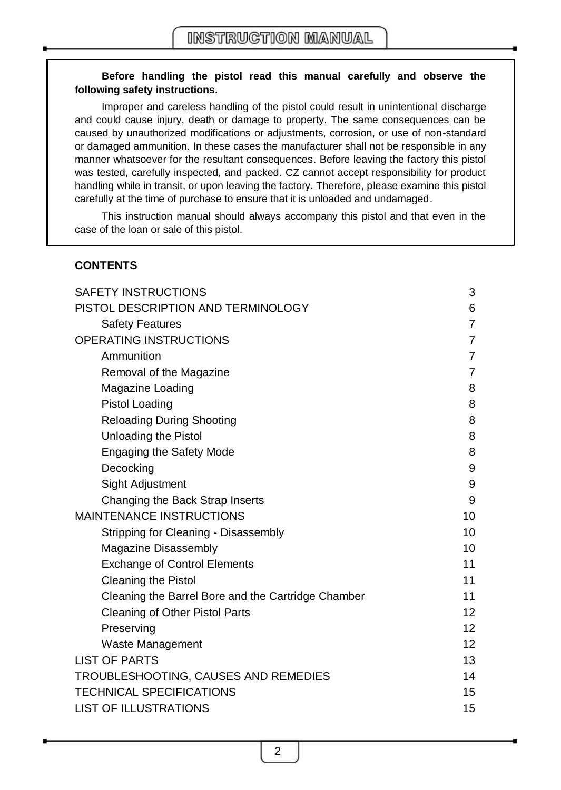### **Before handling the pistol read this manual carefully and observe the following safety instructions.**

Improper and careless handling of the pistol could result in unintentional discharge and could cause injury, death or damage to property. The same consequences can be caused by unauthorized modifications or adjustments, corrosion, or use of non-standard or damaged ammunition. In these cases the manufacturer shall not be responsible in any manner whatsoever for the resultant consequences. Before leaving the factory this pistol was tested, carefully inspected, and packed. CZ cannot accept responsibility for product handling while in transit, or upon leaving the factory. Therefore, please examine this pistol carefully at the time of purchase to ensure that it is unloaded and undamaged.

This instruction manual should always accompany this pistol and that even in the case of the loan or sale of this pistol.

## **CONTENTS**

| <b>SAFETY INSTRUCTIONS</b>                         | 3               |
|----------------------------------------------------|-----------------|
| PISTOL DESCRIPTION AND TERMINOLOGY                 | 6               |
| <b>Safety Features</b>                             | 7               |
| OPERATING INSTRUCTIONS                             | 7               |
| Ammunition                                         | 7               |
| Removal of the Magazine                            | $\overline{7}$  |
| Magazine Loading                                   | 8               |
| Pistol Loading                                     | 8               |
| Reloading During Shooting                          | 8               |
| Unloading the Pistol                               | 8               |
| <b>Engaging the Safety Mode</b>                    | 8               |
| Decocking                                          | 9               |
| Sight Adjustment                                   | 9               |
| Changing the Back Strap Inserts                    | 9               |
| MAINTENANCE INSTRUCTIONS                           | 10              |
| Stripping for Cleaning - Disassembly               | 10 <sup>1</sup> |
| Magazine Disassembly                               | 10 <sup>1</sup> |
| <b>Exchange of Control Elements</b>                | 11              |
| Cleaning the Pistol                                | 11              |
| Cleaning the Barrel Bore and the Cartridge Chamber | 11              |
| Cleaning of Other Pistol Parts                     | 12              |
| Preserving                                         | 12              |
| <b>Waste Management</b>                            | 12              |
| <b>LIST OF PARTS</b>                               | 13              |
| TROUBLESHOOTING, CAUSES AND REMEDIES               | 14              |
| TECHNICAL SPECIFICATIONS                           | 15              |
| LIST OF ILLUSTRATIONS                              | 15              |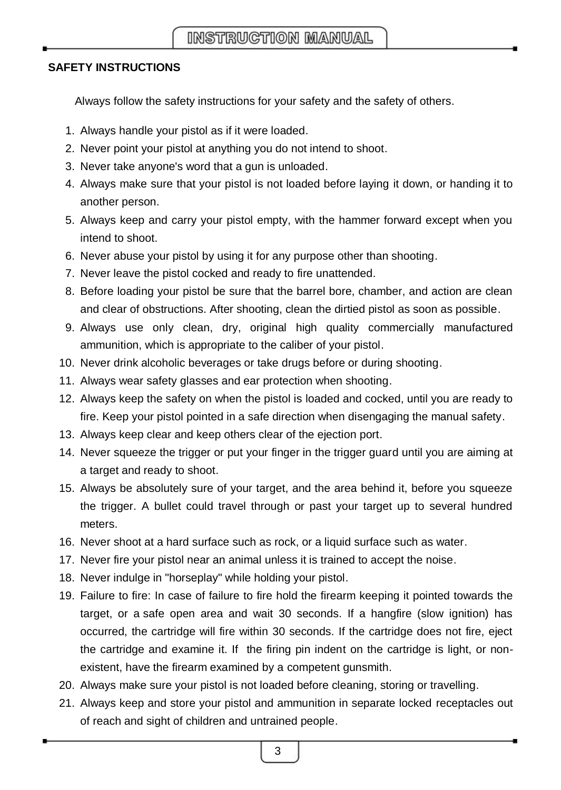## **SAFETY INSTRUCTIONS**

Always follow the safety instructions for your safety and the safety of others.

- 1. Always handle your pistol as if it were loaded.
- 2. Never point your pistol at anything you do not intend to shoot.
- 3. Never take anyone's word that a gun is unloaded.
- 4. Always make sure that your pistol is not loaded before laying it down, or handing it to another person.
- 5. Always keep and carry your pistol empty, with the hammer forward except when you intend to shoot.
- 6. Never abuse your pistol by using it for any purpose other than shooting.
- 7. Never leave the pistol cocked and ready to fire unattended.
- 8. Before loading your pistol be sure that the barrel bore, chamber, and action are clean and clear of obstructions. After shooting, clean the dirtied pistol as soon as possible.
- 9. Always use only clean, dry, original high quality commercially manufactured ammunition, which is appropriate to the caliber of your pistol.
- 10. Never drink alcoholic beverages or take drugs before or during shooting.
- 11. Always wear safety glasses and ear protection when shooting.
- 12. Always keep the safety on when the pistol is loaded and cocked, until you are ready to fire. Keep your pistol pointed in a safe direction when disengaging the manual safety.
- 13. Always keep clear and keep others clear of the ejection port.
- 14. Never squeeze the trigger or put your finger in the trigger guard until you are aiming at a target and ready to shoot.
- 15. Always be absolutely sure of your target, and the area behind it, before you squeeze the trigger. A bullet could travel through or past your target up to several hundred meters.
- 16. Never shoot at a hard surface such as rock, or a liquid surface such as water.
- 17. Never fire your pistol near an animal unless it is trained to accept the noise.
- 18. Never indulge in "horseplay" while holding your pistol.
- 19. Failure to fire: In case of failure to fire hold the firearm keeping it pointed towards the target, or a safe open area and wait 30 seconds. If a hangfire (slow ignition) has occurred, the cartridge will fire within 30 seconds. If the cartridge does not fire, eject the cartridge and examine it. If the firing pin indent on the cartridge is light, or nonexistent, have the firearm examined by a competent gunsmith.
- 20. Always make sure your pistol is not loaded before cleaning, storing or travelling.
- 21. Always keep and store your pistol and ammunition in separate locked receptacles out of reach and sight of children and untrained people.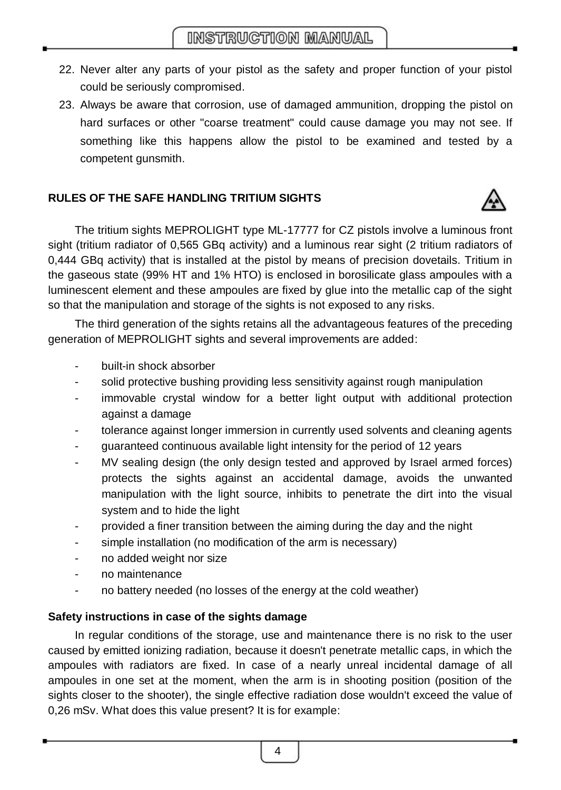- 22. Never alter any parts of your pistol as the safety and proper function of your pistol could be seriously compromised.
- 23. Always be aware that corrosion, use of damaged ammunition, dropping the pistol on hard surfaces or other "coarse treatment" could cause damage you may not see. If something like this happens allow the pistol to be examined and tested by a competent gunsmith.

## **RULES OF THE SAFE HANDLING TRITIUM SIGHTS**

The tritium sights MEPROLIGHT type ML-17777 for CZ pistols involve a luminous front sight (tritium radiator of 0,565 GBq activity) and a luminous rear sight (2 tritium radiators of 0,444 GBq activity) that is installed at the pistol by means of precision dovetails. Tritium in the gaseous state (99% HT and 1% HTO) is enclosed in borosilicate glass ampoules with a luminescent element and these ampoules are fixed by glue into the metallic cap of the sight so that the manipulation and storage of the sights is not exposed to any risks.

The third generation of the sights retains all the advantageous features of the preceding generation of MEPROLIGHT sights and several improvements are added:

- built-in shock absorber
- solid protective bushing providing less sensitivity against rough manipulation
- immovable crystal window for a better light output with additional protection against a damage
- tolerance against longer immersion in currently used solvents and cleaning agents
- guaranteed continuous available light intensity for the period of 12 years
- MV sealing design (the only design tested and approved by Israel armed forces) protects the sights against an accidental damage, avoids the unwanted manipulation with the light source, inhibits to penetrate the dirt into the visual system and to hide the light
- provided a finer transition between the aiming during the day and the night
- simple installation (no modification of the arm is necessary)
- no added weight nor size
- no maintenance
- no battery needed (no losses of the energy at the cold weather)

### **Safety instructions in case of the sights damage**

In regular conditions of the storage, use and maintenance there is no risk to the user caused by emitted ionizing radiation, because it doesn't penetrate metallic caps, in which the ampoules with radiators are fixed. In case of a nearly unreal incidental damage of all ampoules in one set at the moment, when the arm is in shooting position (position of the sights closer to the shooter), the single effective radiation dose wouldn't exceed the value of 0,26 mSv. What does this value present? It is for example: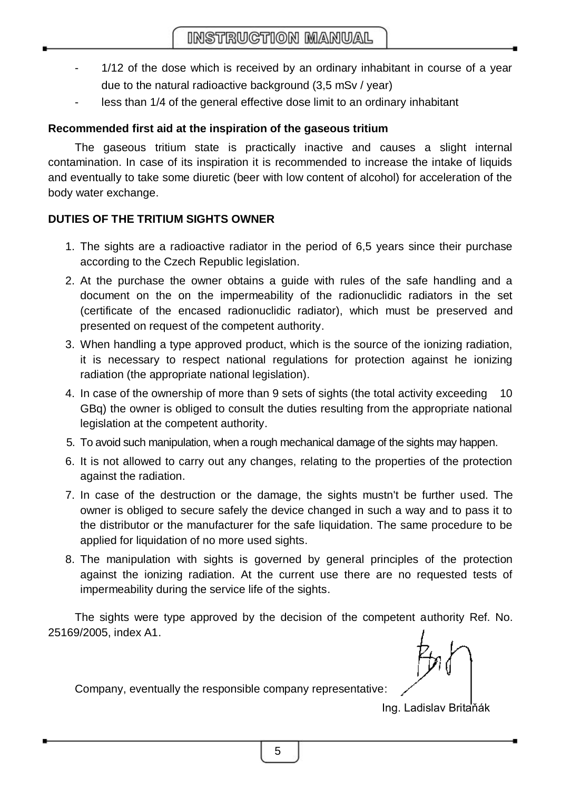- 1/12 of the dose which is received by an ordinary inhabitant in course of a year due to the natural radioactive background (3,5 mSv / year)
- less than 1/4 of the general effective dose limit to an ordinary inhabitant

### **Recommended first aid at the inspiration of the gaseous tritium**

The gaseous tritium state is practically inactive and causes a slight internal contamination. In case of its inspiration it is recommended to increase the intake of liquids and eventually to take some diuretic (beer with low content of alcohol) for acceleration of the body water exchange.

### **DUTIES OF THE TRITIUM SIGHTS OWNER**

- 1. The sights are a radioactive radiator in the period of 6,5 years since their purchase according to the Czech Republic legislation.
- 2. At the purchase the owner obtains a guide with rules of the safe handling and a document on the on the impermeability of the radionuclidic radiators in the set (certificate of the encased radionuclidic radiator), which must be preserved and presented on request of the competent authority.
- 3. When handling a type approved product, which is the source of the ionizing radiation, it is necessary to respect national regulations for protection against he ionizing radiation (the appropriate national legislation).
- 4. In case of the ownership of more than 9 sets of sights (the total activity exceeding 10 GBq) the owner is obliged to consult the duties resulting from the appropriate national legislation at the competent authority.
- 5. To avoid such manipulation, when a rough mechanical damage of the sights may happen.
- 6. It is not allowed to carry out any changes, relating to the properties of the protection against the radiation.
- 7. In case of the destruction or the damage, the sights mustn't be further used. The owner is obliged to secure safely the device changed in such a way and to pass it to the distributor or the manufacturer for the safe liquidation. The same procedure to be applied for liquidation of no more used sights.
- 8. The manipulation with sights is governed by general principles of the protection against the ionizing radiation. At the current use there are no requested tests of impermeability during the service life of the sights.

The sights were type approved by the decision of the competent authority Ref. No. 25169/2005, index A1.

Company, eventually the responsible company representative:

Ing. Ladislav Britaňák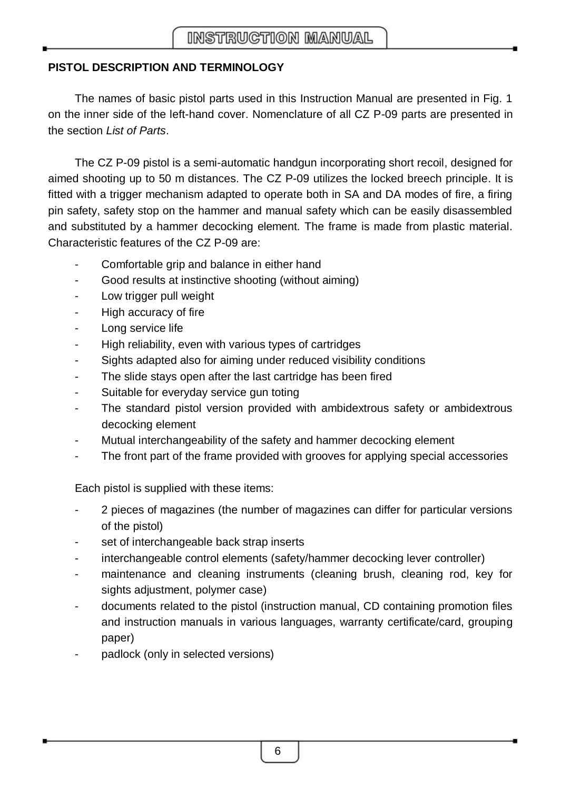## **PISTOL DESCRIPTION AND TERMINOLOGY**

The names of basic pistol parts used in this Instruction Manual are presented in Fig. 1 on the inner side of the left-hand cover. Nomenclature of all CZ P-09 parts are presented in the section *List of Parts*.

The CZ P-09 pistol is a semi-automatic handgun incorporating short recoil, designed for aimed shooting up to 50 m distances. The CZ P-09 utilizes the locked breech principle. It is fitted with a trigger mechanism adapted to operate both in SA and DA modes of fire, a firing pin safety, safety stop on the hammer and manual safety which can be easily disassembled and substituted by a hammer decocking element. The frame is made from plastic material. Characteristic features of the CZ P-09 are:

- Comfortable grip and balance in either hand
- Good results at instinctive shooting (without aiming)
- Low trigger pull weight
- High accuracy of fire
- Long service life
- High reliability, even with various types of cartridges
- Sights adapted also for aiming under reduced visibility conditions
- The slide stays open after the last cartridge has been fired
- Suitable for everyday service gun toting
- The standard pistol version provided with ambidextrous safety or ambidextrous decocking element
- Mutual interchangeability of the safety and hammer decocking element
- The front part of the frame provided with grooves for applying special accessories

Each pistol is supplied with these items:

- 2 pieces of magazines (the number of magazines can differ for particular versions of the pistol)
- set of interchangeable back strap inserts
- interchangeable control elements (safety/hammer decocking lever controller)
- maintenance and cleaning instruments (cleaning brush, cleaning rod, key for sights adjustment, polymer case)
- documents related to the pistol (instruction manual, CD containing promotion files and instruction manuals in various languages, warranty certificate/card, grouping paper)
- padlock (only in selected versions)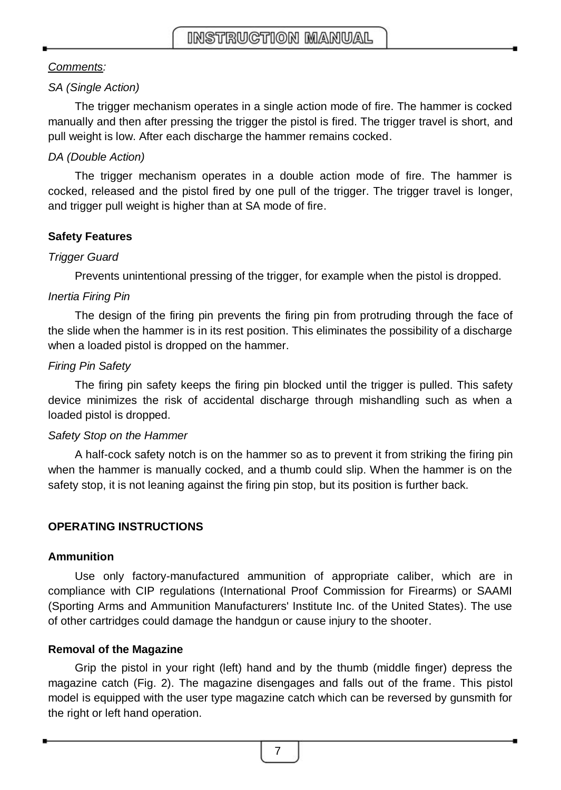### *Comments:*

### *SA (Single Action)*

The trigger mechanism operates in a single action mode of fire. The hammer is cocked manually and then after pressing the trigger the pistol is fired. The trigger travel is short, and pull weight is low. After each discharge the hammer remains cocked.

### *DA (Double Action)*

The trigger mechanism operates in a double action mode of fire. The hammer is cocked, released and the pistol fired by one pull of the trigger. The trigger travel is longer, and trigger pull weight is higher than at SA mode of fire.

## **Safety Features**

## *Trigger Guard*

Prevents unintentional pressing of the trigger, for example when the pistol is dropped.

## *Inertia Firing Pin*

The design of the firing pin prevents the firing pin from protruding through the face of the slide when the hammer is in its rest position. This eliminates the possibility of a discharge when a loaded pistol is dropped on the hammer.

### *Firing Pin Safety*

The firing pin safety keeps the firing pin blocked until the trigger is pulled. This safety device minimizes the risk of accidental discharge through mishandling such as when a loaded pistol is dropped.

### *Safety Stop on the Hammer*

A half-cock safety notch is on the hammer so as to prevent it from striking the firing pin when the hammer is manually cocked, and a thumb could slip. When the hammer is on the safety stop, it is not leaning against the firing pin stop, but its position is further back.

## **OPERATING INSTRUCTIONS**

## **Ammunition**

Use only factory-manufactured ammunition of appropriate caliber, which are in compliance with CIP regulations (International Proof Commission for Firearms) or SAAMI (Sporting Arms and Ammunition Manufacturers' Institute Inc. of the United States). The use of other cartridges could damage the handgun or cause injury to the shooter.

### **Removal of the Magazine**

Grip the pistol in your right (left) hand and by the thumb (middle finger) depress the magazine catch (Fig. 2). The magazine disengages and falls out of the frame. This pistol model is equipped with the user type magazine catch which can be reversed by gunsmith for the right or left hand operation.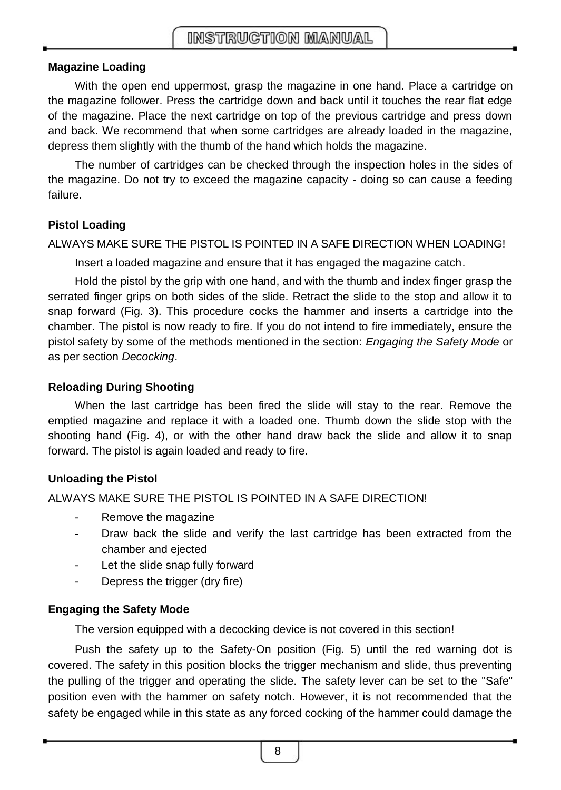### **Magazine Loading**

With the open end uppermost, grasp the magazine in one hand. Place a cartridge on the magazine follower. Press the cartridge down and back until it touches the rear flat edge of the magazine. Place the next cartridge on top of the previous cartridge and press down and back. We recommend that when some cartridges are already loaded in the magazine, depress them slightly with the thumb of the hand which holds the magazine.

The number of cartridges can be checked through the inspection holes in the sides of the magazine. Do not try to exceed the magazine capacity - doing so can cause a feeding failure.

## **Pistol Loading**

ALWAYS MAKE SURE THE PISTOL IS POINTED IN A SAFE DIRECTION WHEN LOADING!

Insert a loaded magazine and ensure that it has engaged the magazine catch.

Hold the pistol by the grip with one hand, and with the thumb and index finger grasp the serrated finger grips on both sides of the slide. Retract the slide to the stop and allow it to snap forward (Fig. 3). This procedure cocks the hammer and inserts a cartridge into the chamber. The pistol is now ready to fire. If you do not intend to fire immediately, ensure the pistol safety by some of the methods mentioned in the section: *Engaging the Safety Mode* or as per section *Decocking*.

### **Reloading During Shooting**

When the last cartridge has been fired the slide will stay to the rear. Remove the emptied magazine and replace it with a loaded one. Thumb down the slide stop with the shooting hand (Fig. 4), or with the other hand draw back the slide and allow it to snap forward. The pistol is again loaded and ready to fire.

### **Unloading the Pistol**

### ALWAYS MAKE SURE THE PISTOL IS POINTED IN A SAFE DIRECTION!

- Remove the magazine
- Draw back the slide and verify the last cartridge has been extracted from the chamber and ejected
- Let the slide snap fully forward
- Depress the trigger (dry fire)

### **Engaging the Safety Mode**

The version equipped with a decocking device is not covered in this section!

Push the safety up to the Safety-On position (Fig. 5) until the red warning dot is covered. The safety in this position blocks the trigger mechanism and slide, thus preventing the pulling of the trigger and operating the slide. The safety lever can be set to the "Safe" position even with the hammer on safety notch. However, it is not recommended that the safety be engaged while in this state as any forced cocking of the hammer could damage the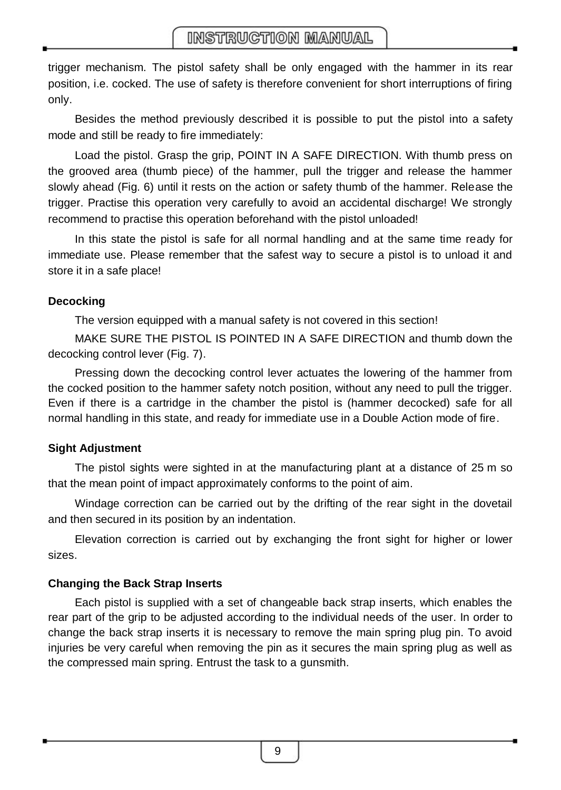# INSTRUCTION MANUAL

trigger mechanism. The pistol safety shall be only engaged with the hammer in its rear position, i.e. cocked. The use of safety is therefore convenient for short interruptions of firing only.

Besides the method previously described it is possible to put the pistol into a safety mode and still be ready to fire immediately:

Load the pistol. Grasp the grip, POINT IN A SAFE DIRECTION. With thumb press on the grooved area (thumb piece) of the hammer, pull the trigger and release the hammer slowly ahead (Fig. 6) until it rests on the action or safety thumb of the hammer. Release the trigger. Practise this operation very carefully to avoid an accidental discharge! We strongly recommend to practise this operation beforehand with the pistol unloaded!

In this state the pistol is safe for all normal handling and at the same time ready for immediate use. Please remember that the safest way to secure a pistol is to unload it and store it in a safe place!

### **Decocking**

The version equipped with a manual safety is not covered in this section!

MAKE SURE THE PISTOL IS POINTED IN A SAFE DIRECTION and thumb down the decocking control lever (Fig. 7).

Pressing down the decocking control lever actuates the lowering of the hammer from the cocked position to the hammer safety notch position, without any need to pull the trigger. Even if there is a cartridge in the chamber the pistol is (hammer decocked) safe for all normal handling in this state, and ready for immediate use in a Double Action mode of fire.

### **Sight Adjustment**

The pistol sights were sighted in at the manufacturing plant at a distance of 25 m so that the mean point of impact approximately conforms to the point of aim.

Windage correction can be carried out by the drifting of the rear sight in the dovetail and then secured in its position by an indentation.

Elevation correction is carried out by exchanging the front sight for higher or lower sizes.

### **Changing the Back Strap Inserts**

Each pistol is supplied with a set of changeable back strap inserts, which enables the rear part of the grip to be adjusted according to the individual needs of the user. In order to change the back strap inserts it is necessary to remove the main spring plug pin. To avoid injuries be very careful when removing the pin as it secures the main spring plug as well as the compressed main spring. Entrust the task to a gunsmith.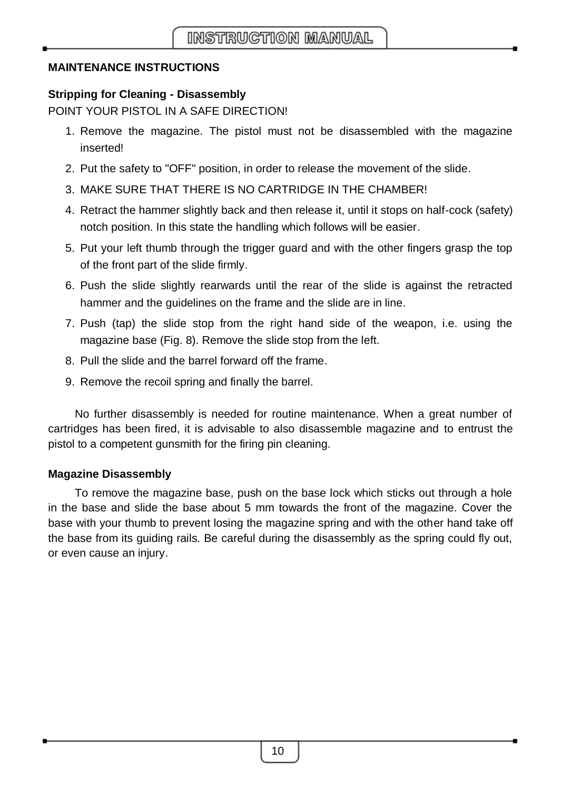## **MAINTENANCE INSTRUCTIONS**

## **Stripping for Cleaning - Disassembly**

POINT YOUR PISTOL IN A SAFE DIRECTION!

- 1. Remove the magazine. The pistol must not be disassembled with the magazine inserted!
- 2. Put the safety to "OFF" position, in order to release the movement of the slide.
- 3. MAKE SURE THAT THERE IS NO CARTRIDGE IN THE CHAMBER!
- 4. Retract the hammer slightly back and then release it, until it stops on half-cock (safety) notch position. In this state the handling which follows will be easier.
- 5. Put your left thumb through the trigger guard and with the other fingers grasp the top of the front part of the slide firmly.
- 6. Push the slide slightly rearwards until the rear of the slide is against the retracted hammer and the guidelines on the frame and the slide are in line.
- 7. Push (tap) the slide stop from the right hand side of the weapon, i.e. using the magazine base (Fig. 8). Remove the slide stop from the left.
- 8. Pull the slide and the barrel forward off the frame.
- 9. Remove the recoil spring and finally the barrel.

No further disassembly is needed for routine maintenance. When a great number of cartridges has been fired, it is advisable to also disassemble magazine and to entrust the pistol to a competent gunsmith for the firing pin cleaning.

### **Magazine Disassembly**

To remove the magazine base, push on the base lock which sticks out through a hole in the base and slide the base about 5 mm towards the front of the magazine. Cover the base with your thumb to prevent losing the magazine spring and with the other hand take off the base from its guiding rails. Be careful during the disassembly as the spring could fly out, or even cause an injury.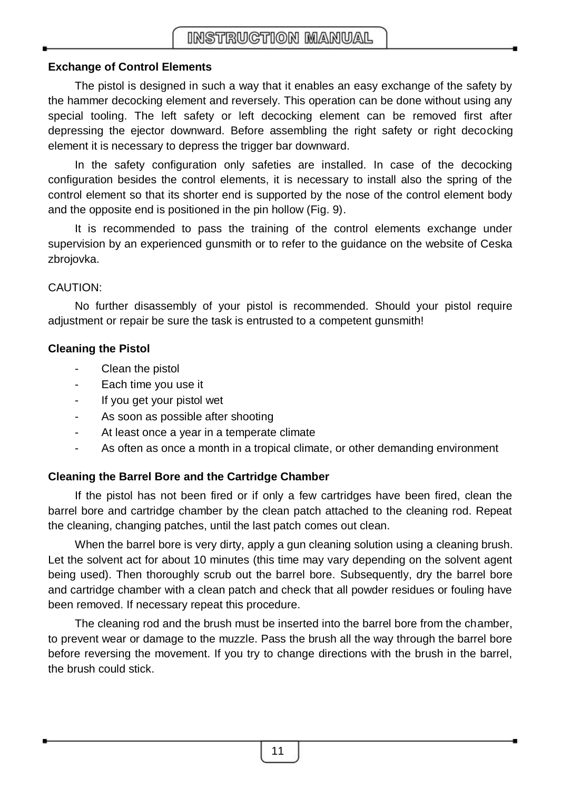## **Exchange of Control Elements**

The pistol is designed in such a way that it enables an easy exchange of the safety by the hammer decocking element and reversely. This operation can be done without using any special tooling. The left safety or left decocking element can be removed first after depressing the ejector downward. Before assembling the right safety or right decocking element it is necessary to depress the trigger bar downward.

In the safety configuration only safeties are installed. In case of the decocking configuration besides the control elements, it is necessary to install also the spring of the control element so that its shorter end is supported by the nose of the control element body and the opposite end is positioned in the pin hollow (Fig. 9).

It is recommended to pass the training of the control elements exchange under supervision by an experienced gunsmith or to refer to the guidance on the website of Ceska zbrojovka.

### CAUTION:

No further disassembly of your pistol is recommended. Should your pistol require adjustment or repair be sure the task is entrusted to a competent gunsmith!

### **Cleaning the Pistol**

- Clean the pistol
- Each time you use it
- If you get your pistol wet
- As soon as possible after shooting
- At least once a year in a temperate climate
- As often as once a month in a tropical climate, or other demanding environment

## **Cleaning the Barrel Bore and the Cartridge Chamber**

If the pistol has not been fired or if only a few cartridges have been fired, clean the barrel bore and cartridge chamber by the clean patch attached to the cleaning rod. Repeat the cleaning, changing patches, until the last patch comes out clean.

When the barrel bore is very dirty, apply a gun cleaning solution using a cleaning brush. Let the solvent act for about 10 minutes (this time may vary depending on the solvent agent being used). Then thoroughly scrub out the barrel bore. Subsequently, dry the barrel bore and cartridge chamber with a clean patch and check that all powder residues or fouling have been removed. If necessary repeat this procedure.

The cleaning rod and the brush must be inserted into the barrel bore from the chamber, to prevent wear or damage to the muzzle. Pass the brush all the way through the barrel bore before reversing the movement. If you try to change directions with the brush in the barrel, the brush could stick.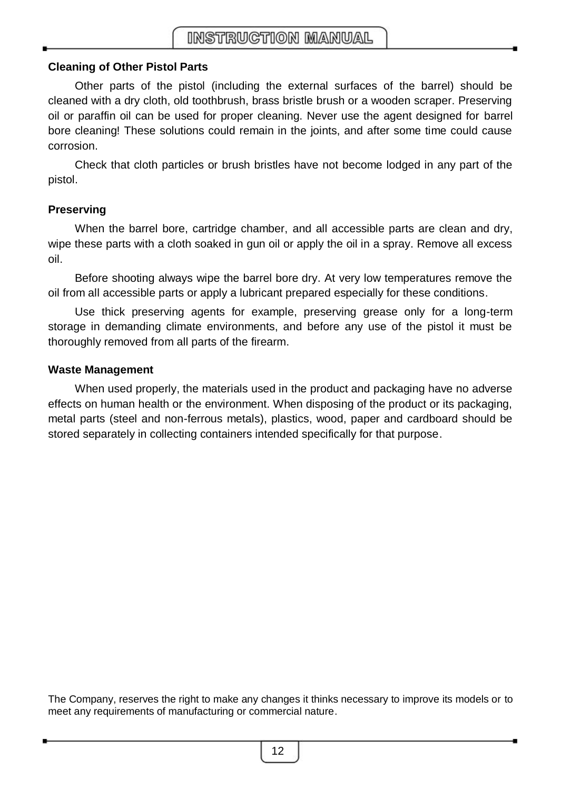## **Cleaning of Other Pistol Parts**

Other parts of the pistol (including the external surfaces of the barrel) should be cleaned with a dry cloth, old toothbrush, brass bristle brush or a wooden scraper. Preserving oil or paraffin oil can be used for proper cleaning. Never use the agent designed for barrel bore cleaning! These solutions could remain in the joints, and after some time could cause corrosion.

Check that cloth particles or brush bristles have not become lodged in any part of the pistol.

### **Preserving**

When the barrel bore, cartridge chamber, and all accessible parts are clean and dry, wipe these parts with a cloth soaked in gun oil or apply the oil in a spray. Remove all excess oil.

Before shooting always wipe the barrel bore dry. At very low temperatures remove the oil from all accessible parts or apply a lubricant prepared especially for these conditions.

Use thick preserving agents for example, preserving grease only for a long-term storage in demanding climate environments, and before any use of the pistol it must be thoroughly removed from all parts of the firearm.

### **Waste Management**

When used properly, the materials used in the product and packaging have no adverse effects on human health or the environment. When disposing of the product or its packaging, metal parts (steel and non-ferrous metals), plastics, wood, paper and cardboard should be stored separately in collecting containers intended specifically for that purpose.

The Company, reserves the right to make any changes it thinks necessary to improve its models or to meet any requirements of manufacturing or commercial nature.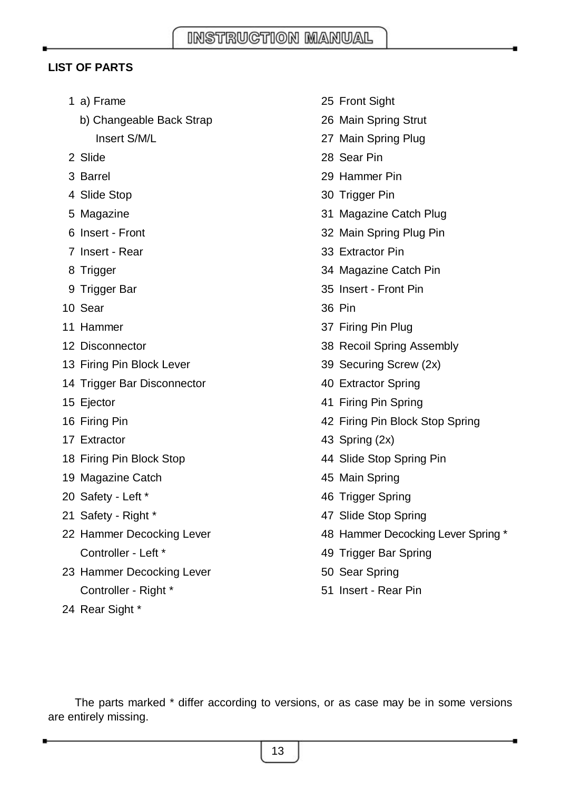## **LIST OF PARTS**

- a) Frame
	- b) Changeable Back Strap Insert S/M/L
- Slide
- Barrel
- Slide Stop
- Magazine
- Insert Front
- Insert Rear
- Trigger
- Trigger Bar
- Sear
- Hammer
- Disconnector
- Firing Pin Block Lever
- Trigger Bar Disconnector
- Ejector
- Firing Pin
- Extractor
- Firing Pin Block Stop
- Magazine Catch
- Safety Left \*
- Safety Right \*
- Hammer Decocking Lever Controller - Left \*
- Hammer Decocking Lever Controller - Right \*
- Rear Sight \*
- Front Sight
- Main Spring Strut
- Main Spring Plug
- Sear Pin
- Hammer Pin
- Trigger Pin
- Magazine Catch Plug
- Main Spring Plug Pin
- Extractor Pin
- Magazine Catch Pin
- Insert Front Pin
- Pin
- Firing Pin Plug
- Recoil Spring Assembly
- Securing Screw (2x)
- Extractor Spring
- Firing Pin Spring
- Firing Pin Block Stop Spring
- Spring (2x)
- Slide Stop Spring Pin
- Main Spring
- Trigger Spring
- Slide Stop Spring
- Hammer Decocking Lever Spring \*
- Trigger Bar Spring
- Sear Spring
- Insert Rear Pin

The parts marked \* differ according to versions, or as case may be in some versions are entirely missing.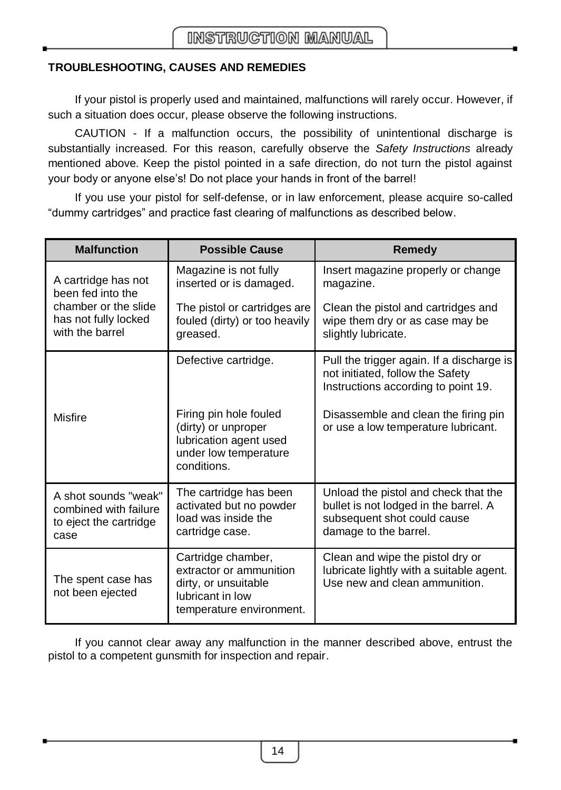## **TROUBLESHOOTING, CAUSES AND REMEDIES**

If your pistol is properly used and maintained, malfunctions will rarely occur. However, if such a situation does occur, please observe the following instructions.

CAUTION - If a malfunction occurs, the possibility of unintentional discharge is substantially increased. For this reason, carefully observe the *Safety Instructions* already mentioned above. Keep the pistol pointed in a safe direction, do not turn the pistol against your body or anyone else's! Do not place your hands in front of the barrel!

If you use your pistol for self-defense, or in law enforcement, please acquire so-called "dummy cartridges" and practice fast clearing of malfunctions as described below.

| <b>Malfunction</b>                                                              | <b>Possible Cause</b>                                                                                                 | Remedy                                                                                                                                |
|---------------------------------------------------------------------------------|-----------------------------------------------------------------------------------------------------------------------|---------------------------------------------------------------------------------------------------------------------------------------|
| A cartridge has not<br>been fed into the                                        | Magazine is not fully<br>inserted or is damaged.                                                                      | Insert magazine properly or change<br>magazine.                                                                                       |
| chamber or the slide<br>has not fully locked<br>with the barrel                 | The pistol or cartridges are<br>fouled (dirty) or too heavily<br>greased.                                             | Clean the pistol and cartridges and<br>wipe them dry or as case may be<br>slightly lubricate.                                         |
|                                                                                 | Defective cartridge.                                                                                                  | Pull the trigger again. If a discharge is<br>not initiated, follow the Safety<br>Instructions according to point 19.                  |
| Misfire                                                                         | Firing pin hole fouled<br>(dirty) or unproper<br>lubrication agent used<br>under low temperature<br>conditions.       | Disassemble and clean the firing pin<br>or use a low temperature lubricant.                                                           |
| A shot sounds "weak"<br>combined with failure<br>to eject the cartridge<br>case | The cartridge has been<br>activated but no powder<br>load was inside the<br>cartridge case.                           | Unload the pistol and check that the<br>bullet is not lodged in the barrel. A<br>subsequent shot could cause<br>damage to the barrel. |
| The spent case has<br>not been ejected                                          | Cartridge chamber,<br>extractor or ammunition<br>dirty, or unsuitable<br>lubricant in low<br>temperature environment. | Clean and wipe the pistol dry or<br>lubricate lightly with a suitable agent.<br>Use new and clean ammunition.                         |

If you cannot clear away any malfunction in the manner described above, entrust the pistol to a competent gunsmith for inspection and repair.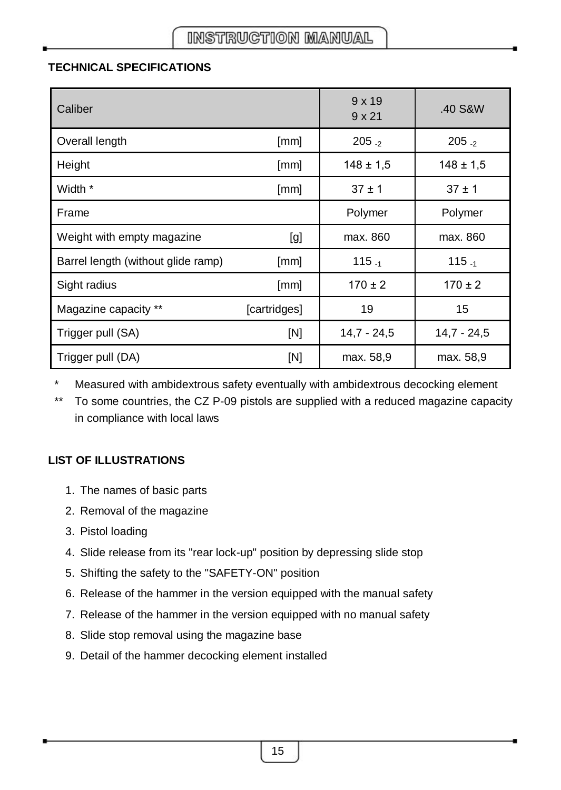## **TECHNICAL SPECIFICATIONS**

| Caliber                            |              | $9 \times 19$<br>$9 \times 21$ | .40 S&W       |
|------------------------------------|--------------|--------------------------------|---------------|
| Overall length                     | [mm]         | 205.2                          | 205.2         |
| Height                             | [mm]         | $148 \pm 1.5$                  | $148 \pm 1.5$ |
| Width *                            | [mm]         | $37 \pm 1$                     | $37 \pm 1$    |
| Frame                              |              | Polymer                        | Polymer       |
| Weight with empty magazine         | [g]          | max. 860                       | max. 860      |
| Barrel length (without glide ramp) | [mm]         | 115.1                          | 115.1         |
| Sight radius                       | [mm]         | $170 \pm 2$                    | $170 \pm 2$   |
| Magazine capacity **               | [cartridges] | 19                             | 15            |
| Trigger pull (SA)                  | [N]          | 14,7 - 24,5                    | 14,7 - 24,5   |
| Trigger pull (DA)                  | [N]          | max. 58,9                      | max. 58,9     |

\* Measured with ambidextrous safety eventually with ambidextrous decocking element

\*\* To some countries, the CZ P-09 pistols are supplied with a reduced magazine capacity in compliance with local laws

# **LIST OF ILLUSTRATIONS**

- 1. The names of basic parts
- 2. Removal of the magazine
- 3. Pistol loading
- 4. Slide release from its "rear lock-up" position by depressing slide stop
- 5. Shifting the safety to the "SAFETY-ON" position
- 6. Release of the hammer in the version equipped with the manual safety
- 7. Release of the hammer in the version equipped with no manual safety
- 8. Slide stop removal using the magazine base
- 9. Detail of the hammer decocking element installed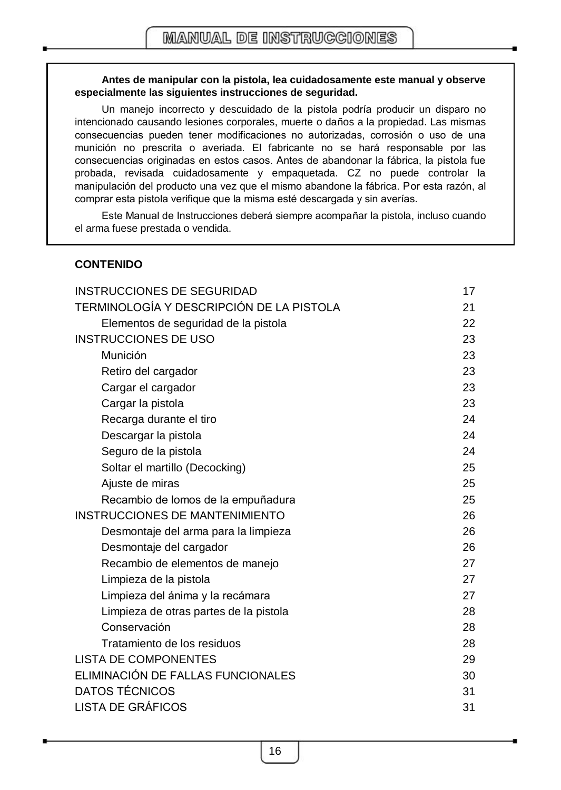#### **Antes de manipular con la pistola, lea cuidadosamente este manual y observe especialmente las siguientes instrucciones de seguridad.**

Un manejo incorrecto y descuidado de la pistola podría producir un disparo no intencionado causando lesiones corporales, muerte o daños a la propiedad. Las mismas consecuencias pueden tener modificaciones no autorizadas, corrosión o uso de una munición no prescrita o averiada. El fabricante no se hará responsable por las consecuencias originadas en estos casos. Antes de abandonar la fábrica, la pistola fue probada, revisada cuidadosamente y empaquetada. CZ no puede controlar la manipulación del producto una vez que el mismo abandone la fábrica. Por esta razón, al comprar esta pistola verifique que la misma esté descargada y sin averías.

Este Manual de Instrucciones deberá siempre acompañar la pistola, incluso cuando el arma fuese prestada o vendida.

## **CONTENIDO**

| INSTRUCCIONES DE SEGURIDAD               | 17 |
|------------------------------------------|----|
| TERMINOLOGÍA Y DESCRIPCIÓN DE LA PISTOLA | 21 |
| Elementos de seguridad de la pistola     | 22 |
| <b>INSTRUCCIONES DE USO</b>              | 23 |
| Munición                                 | 23 |
| Retiro del cargador                      | 23 |
| Cargar el cargador                       | 23 |
| Cargar la pistola                        | 23 |
| Recarga durante el tiro                  | 24 |
| Descargar la pistola                     | 24 |
| Seguro de la pistola                     | 24 |
| Soltar el martillo (Decocking)           | 25 |
| Ajuste de miras                          | 25 |
| Recambio de lomos de la empuñadura       | 25 |
| INSTRUCCIONES DE MANTENIMIENTO           | 26 |
| Desmontaje del arma para la limpieza     | 26 |
| Desmontaje del cargador                  | 26 |
| Recambio de elementos de manejo          | 27 |
| Limpieza de la pistola                   | 27 |
| Limpieza del ánima y la recámara         | 27 |
| Limpieza de otras partes de la pistola   | 28 |
| Conservación                             | 28 |
| Tratamiento de los residuos              | 28 |
| <b>LISTA DE COMPONENTES</b>              | 29 |
| ELIMINACIÓN DE FALLAS FUNCIONALES        | 30 |
| DATOS TÉCNICOS                           | 31 |
| LISTA DE GRÁFICOS                        | 31 |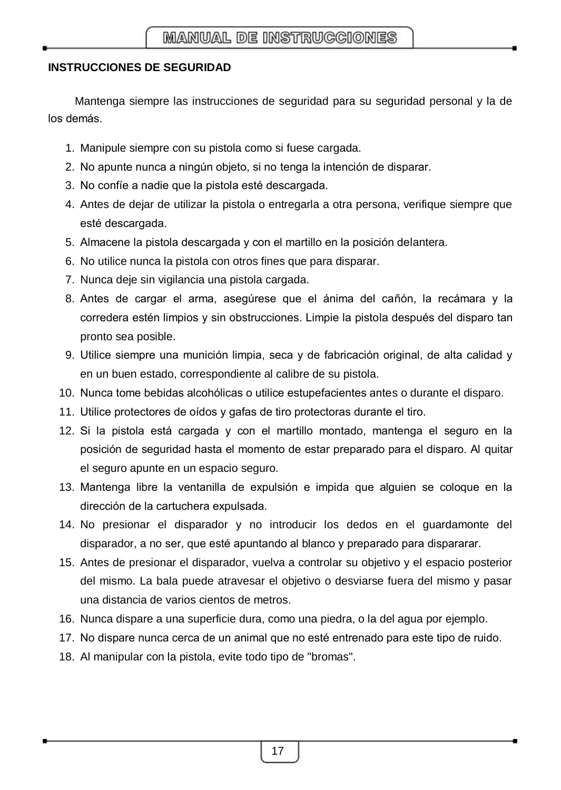## **INSTRUCCIONES DE SEGURIDAD**

Mantenga siempre las instrucciones de seguridad para su seguridad personal y la de los demás.

- 1. Manipule siempre con su pistola como si fuese cargada.
- 2. No apunte nunca a ningún objeto, si no tenga la intención de disparar.
- 3. No confíe a nadie que la pistola esté descargada.
- 4. Antes de dejar de utilizar la pistola o entregarla a otra persona, verifique siempre que esté descargada.
- 5. Almacene la pistola descargada y con el martillo en la posición delantera.
- 6. No utilice nunca la pistola con otros fines que para disparar.
- 7. Nunca deje sin vigilancia una pistola cargada.
- 8. Antes de cargar el arma, asegúrese que el ánima del cañón, la recámara y la corredera estén limpios y sin obstrucciones. Limpie la pistola después del disparo tan pronto sea posible.
- 9. Utilice siempre una munición limpia, seca y de fabricación original, de alta calidad y en un buen estado, correspondiente al calibre de su pistola.
- 10. Nunca tome bebidas alcohólicas o utilice estupefacientes antes o durante el disparo.
- 11. Utilice protectores de oídos y gafas de tiro protectoras durante el tiro.
- 12. Si la pistola está cargada y con el martillo montado, mantenga el seguro en la posición de seguridad hasta el momento de estar preparado para el disparo. Al quitar el seguro apunte en un espacio seguro.
- 13. Mantenga libre la ventanilla de expulsión e impida que alguien se coloque en la dirección de la cartuchera expulsada.
- 14. No presionar el disparador y no introducir los dedos en el guardamonte del disparador, a no ser, que esté apuntando al blanco y preparado para dispararar.
- 15. Antes de presionar el disparador, vuelva a controlar su objetivo y el espacio posterior del mismo. La bala puede atravesar el objetivo o desviarse fuera del mismo y pasar una distancia de varios cientos de metros.
- 16. Nunca dispare a una superficie dura, como una piedra, o la del agua por ejemplo.
- 17. No dispare nunca cerca de un animal que no esté entrenado para este tipo de ruido.
- 18. Al manipular con la pistola, evite todo tipo de "bromas".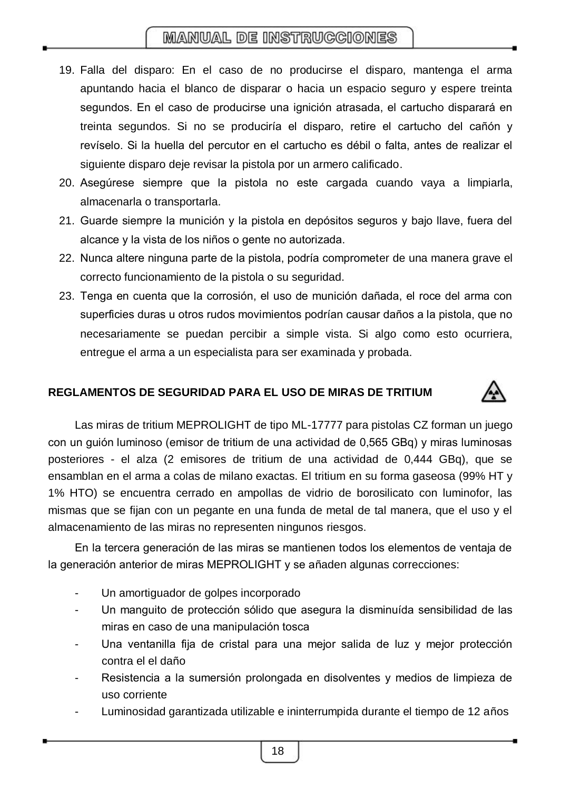# **MANUAL DE INSTRUCCIONES**

- 19. Falla del disparo: En el caso de no producirse el disparo, mantenga el arma apuntando hacia el blanco de disparar o hacia un espacio seguro y espere treinta segundos. En el caso de producirse una ignición atrasada, el cartucho disparará en treinta segundos. Si no se produciría el disparo, retire el cartucho del cañón y revíselo. Si la huella del percutor en el cartucho es débil o falta, antes de realizar el siguiente disparo deje revisar la pistola por un armero calificado.
- 20. Asegúrese siempre que la pistola no este cargada cuando vaya a limpiarla, almacenarla o transportarla.
- 21. Guarde siempre la munición y la pistola en depósitos seguros y bajo llave, fuera del alcance y la vista de los niños o gente no autorizada.
- 22. Nunca altere ninguna parte de la pistola, podría comprometer de una manera grave el correcto funcionamiento de la pistola o su seguridad.
- 23. Tenga en cuenta que la corrosión, el uso de munición dañada, el roce del arma con superficies duras u otros rudos movimientos podrían causar daños a la pistola, que no necesariamente se puedan percibir a simple vista. Si algo como esto ocurriera, entregue el arma a un especialista para ser examinada y probada.

### **REGLAMENTOS DE SEGURIDAD PARA EL USO DE MIRAS DE TRITIUM**

Las miras de tritium MEPROLIGHT de tipo ML-17777 para pistolas CZ forman un juego con un guión luminoso (emisor de tritium de una actividad de 0,565 GBq) y miras luminosas posteriores - el alza (2 emisores de tritium de una actividad de 0,444 GBq), que se ensamblan en el arma a colas de milano exactas. El tritium en su forma gaseosa (99% HT y 1% HTO) se encuentra cerrado en ampollas de vidrio de borosilicato con luminofor, las mismas que se fijan con un pegante en una funda de metal de tal manera, que el uso y el almacenamiento de las miras no representen ningunos riesgos.

En la tercera generación de las miras se mantienen todos los elementos de ventaja de la generación anterior de miras MEPROLIGHT y se añaden algunas correcciones:

- Un amortiguador de golpes incorporado
- Un manguito de protección sólido que asegura la disminuída sensibilidad de las miras en caso de una manipulación tosca
- Una ventanilla fija de cristal para una mejor salida de luz y mejor protección contra el el daño
- Resistencia a la sumersión prolongada en disolventes y medios de limpieza de uso corriente
- Luminosidad garantizada utilizable e ininterrumpida durante el tiempo de 12 años

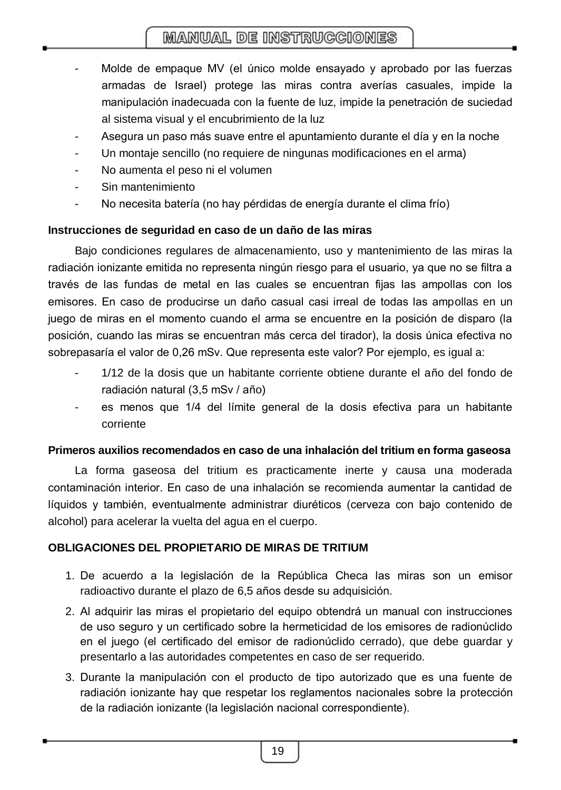# **MANUAL DE INSTRUCCIONES**

- Molde de empaque MV (el único molde ensayado y aprobado por las fuerzas armadas de Israel) protege las miras contra averías casuales, impide la manipulación inadecuada con la fuente de luz, impide la penetración de suciedad al sistema visual y el encubrimiento de la luz
- Asegura un paso más suave entre el apuntamiento durante el día y en la noche
- Un montaje sencillo (no requiere de ningunas modificaciones en el arma)
- No aumenta el peso ni el volumen
- Sin mantenimiento
- No necesita batería (no hay pérdidas de energía durante el clima frío)

### **Instrucciones de seguridad en caso de un daño de las miras**

Bajo condiciones regulares de almacenamiento, uso y mantenimiento de las miras la radiación ionizante emitida no representa ningún riesgo para el usuario, ya que no se filtra a través de las fundas de metal en las cuales se encuentran fijas las ampollas con los emisores. En caso de producirse un daño casual casi irreal de todas las ampollas en un juego de miras en el momento cuando el arma se encuentre en la posición de disparo (la posición, cuando las miras se encuentran más cerca del tirador), la dosis única efectiva no sobrepasaría el valor de 0,26 mSv. Que representa este valor? Por ejemplo, es igual a:

- 1/12 de la dosis que un habitante corriente obtiene durante el año del fondo de radiación natural (3,5 mSv / año)
- es menos que 1/4 del límite general de la dosis efectiva para un habitante corriente

## **Primeros auxilios recomendados en caso de una inhalación del tritium en forma gaseosa**

La forma gaseosa del tritium es practicamente inerte y causa una moderada contaminación interior. En caso de una inhalación se recomienda aumentar la cantidad de líquidos y también, eventualmente administrar diuréticos (cerveza con bajo contenido de alcohol) para acelerar la vuelta del agua en el cuerpo.

### **OBLIGACIONES DEL PROPIETARIO DE MIRAS DE TRITIUM**

- 1. De acuerdo a la legislación de la República Checa las miras son un emisor radioactivo durante el plazo de 6,5 años desde su adquisición.
- 2. Al adquirir las miras el propietario del equipo obtendrá un manual con instrucciones de uso seguro y un certificado sobre la hermeticidad de los emisores de radionúclido en el juego (el certificado del emisor de radionúclido cerrado), que debe guardar y presentarlo a las autoridades competentes en caso de ser requerido.
- 3. Durante la manipulación con el producto de tipo autorizado que es una fuente de radiación ionizante hay que respetar los reglamentos nacionales sobre la protección de la radiación ionizante (la legislación nacional correspondiente).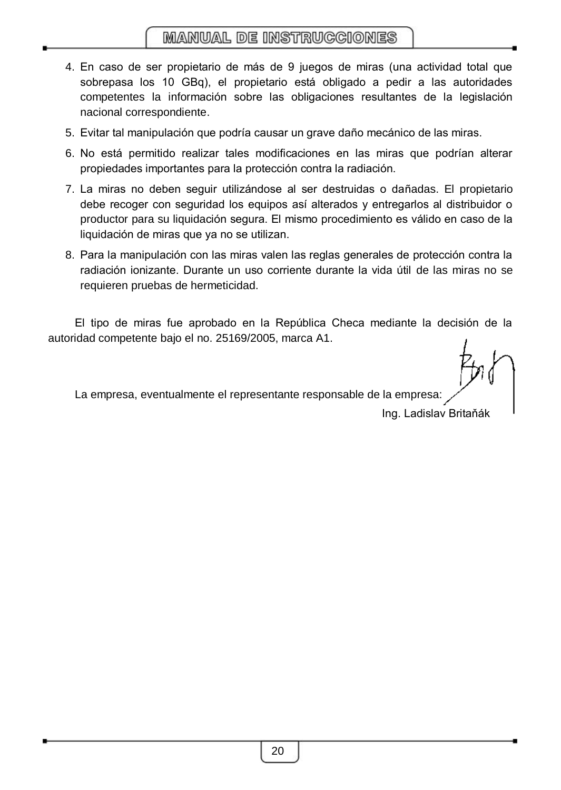# **MANUAL DE INSTRUCCIONES**

- 4. En caso de ser propietario de más de 9 juegos de miras (una actividad total que sobrepasa los 10 GBq), el propietario está obligado a pedir a las autoridades competentes la información sobre las obligaciones resultantes de la legislación nacional correspondiente.
- 5. Evitar tal manipulación que podría causar un grave daño mecánico de las miras.
- 6. No está permitido realizar tales modificaciones en las miras que podrían alterar propiedades importantes para la protección contra la radiación.
- 7. La miras no deben seguir utilizándose al ser destruidas o dañadas. El propietario debe recoger con seguridad los equipos así alterados y entregarlos al distribuidor o productor para su liquidación segura. El mismo procedimiento es válido en caso de la liquidación de miras que ya no se utilizan.
- 8. Para la manipulación con las miras valen las reglas generales de protección contra la radiación ionizante. Durante un uso corriente durante la vida útil de las miras no se requieren pruebas de hermeticidad.

El tipo de miras fue aprobado en la República Checa mediante la decisión de la autoridad competente bajo el no. 25169/2005, marca A1.

La empresa, eventualmente el representante responsable de la empresa:

Ing. Ladislav Britaňák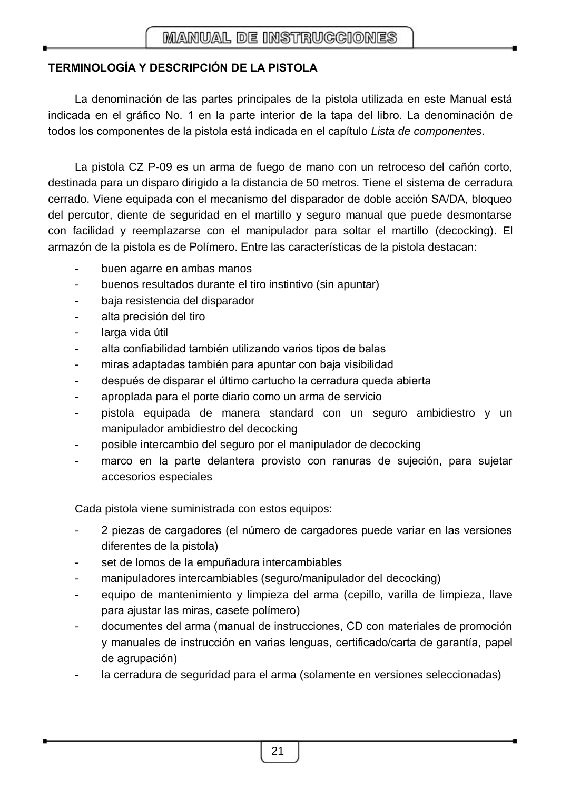# **TERMINOLOGÍA Y DESCRIPCIÓN DE LA PISTOLA**

La denominación de las partes principales de la pistola utilizada en este Manual está indicada en el gráfico No. 1 en la parte interior de la tapa del libro. La denominación de todos los componentes de la pistola está indicada en el capítulo *Lista de componentes*.

La pistola CZ P-09 es un arma de fuego de mano con un retroceso del cañón corto, destinada para un disparo dirigido a la distancia de 50 metros. Tiene el sistema de cerradura cerrado. Viene equipada con el mecanismo del disparador de doble acción SA/DA, bloqueo del percutor, diente de seguridad en el martillo y seguro manual que puede desmontarse con facilidad y reemplazarse con el manipulador para soltar el martillo (decocking). El armazón de la pistola es de Polímero. Entre las características de la pistola destacan:

- buen agarre en ambas manos
- buenos resultados durante el tiro instintivo (sin apuntar)
- baja resistencia del disparador
- alta precisión del tiro
- larga vida útil
- alta confiabilidad también utilizando varios tipos de balas
- miras adaptadas también para apuntar con baja visibilidad
- después de disparar el último cartucho la cerradura queda abierta
- aproplada para el porte diario como un arma de servicio
- pistola equipada de manera standard con un seguro ambidiestro y un manipulador ambidiestro del decocking
- posible intercambio del seguro por el manipulador de decocking
- marco en la parte delantera provisto con ranuras de sujeción, para sujetar accesorios especiales

Cada pistola viene suministrada con estos equipos:

- 2 piezas de cargadores (el número de cargadores puede variar en las versiones diferentes de la pistola)
- set de lomos de la empuñadura intercambiables
- manipuladores intercambiables (seguro/manipulador del decocking)
- equipo de mantenimiento y limpieza del arma (cepillo, varilla de limpieza, llave para ajustar las miras, casete polímero)
- documentes del arma (manual de instrucciones, CD con materiales de promoción y manuales de instrucción en varias lenguas, certificado/carta de garantía, papel de agrupación)
- la cerradura de seguridad para el arma (solamente en versiones seleccionadas)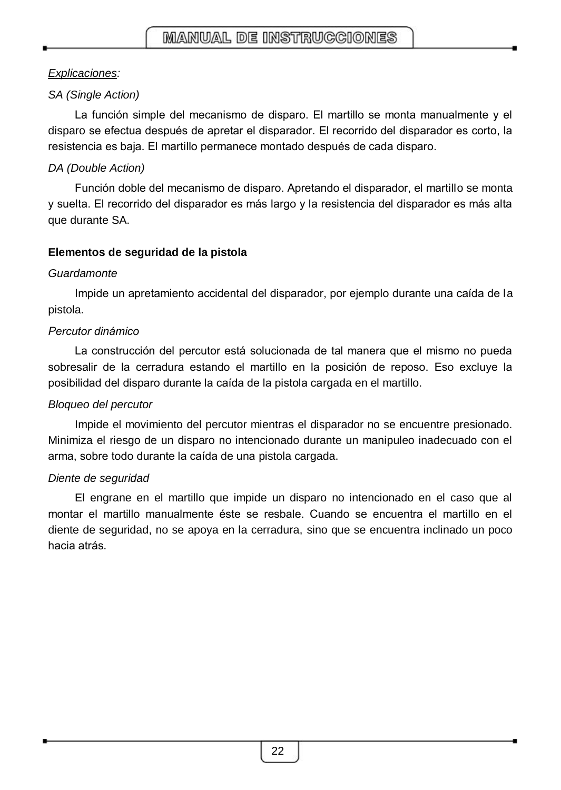## *Explicaciones:*

## *SA (Single Action)*

La función simple del mecanismo de disparo. El martillo se monta manualmente y el disparo se efectua después de apretar el disparador. El recorrido del disparador es corto, la resistencia es baja. El martillo permanece montado después de cada disparo.

## *DA (Double Action)*

Función doble del mecanismo de disparo. Apretando el disparador, el martillo se monta y suelta. El recorrido del disparador es más largo y la resistencia del disparador es más alta que durante SA.

## **Elementos de seguridad de la pistola**

## *Guardamonte*

Impide un apretamiento accidental del disparador, por ejemplo durante una caída de la pistola.

## *Percutor dinámico*

La construcción del percutor está solucionada de tal manera que el mismo no pueda sobresalir de la cerradura estando el martillo en la posición de reposo. Eso excluye la posibilidad del disparo durante la caída de la pistola cargada en el martillo.

## *Bloqueo del percutor*

Impide el movimiento del percutor mientras el disparador no se encuentre presionado. Minimiza el riesgo de un disparo no intencionado durante un manipuleo inadecuado con el arma, sobre todo durante la caída de una pistola cargada.

## *Diente de seguridad*

El engrane en el martillo que impide un disparo no intencionado en el caso que al montar el martillo manualmente éste se resbale. Cuando se encuentra el martillo en el diente de seguridad, no se apoya en la cerradura, sino que se encuentra inclinado un poco hacia atrás.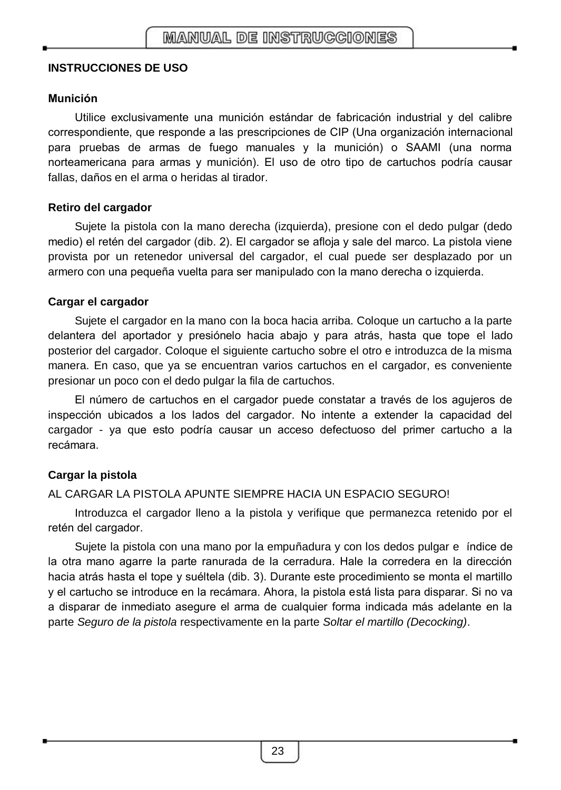## **INSTRUCCIONES DE USO**

## **Munición**

Utilice exclusivamente una munición estándar de fabricación industrial y del calibre correspondiente, que responde a las prescripciones de CIP (Una organización internacional para pruebas de armas de fuego manuales y la munición) o SAAMI (una norma norteamericana para armas y munición). El uso de otro tipo de cartuchos podría causar fallas, daños en el arma o heridas al tirador.

## **Retiro del cargador**

Sujete la pistola con la mano derecha (izquierda), presione con el dedo pulgar (dedo medio) el retén del cargador (dib. 2). El cargador se afloja y sale del marco. La pistola viene provista por un retenedor universal del cargador, el cual puede ser desplazado por un armero con una pequeña vuelta para ser manipulado con la mano derecha o izquierda.

## **Cargar el cargador**

Sujete el cargador en la mano con la boca hacia arriba. Coloque un cartucho a la parte delantera del aportador y presiónelo hacia abajo y para atrás, hasta que tope el lado posterior del cargador. Coloque el siguiente cartucho sobre el otro e introduzca de la misma manera. En caso, que ya se encuentran varios cartuchos en el cargador, es conveniente presionar un poco con el dedo pulgar la fila de cartuchos.

El número de cartuchos en el cargador puede constatar a través de los agujeros de inspección ubicados a los lados del cargador. No intente a extender la capacidad del cargador - ya que esto podría causar un acceso defectuoso del primer cartucho a la recámara.

## **Cargar la pistola**

## AL CARGAR LA PISTOLA APUNTE SIEMPRE HACIA UN ESPACIO SEGURO!

Introduzca el cargador lleno a la pistola y verifique que permanezca retenido por el retén del cargador.

Sujete la pistola con una mano por la empuñadura y con los dedos pulgar e índice de la otra mano agarre la parte ranurada de la cerradura. Hale la corredera en la dirección hacia atrás hasta el tope y suéltela (dib. 3). Durante este procedimiento se monta el martillo y el cartucho se introduce en la recámara. Ahora, la pistola está lista para disparar. Si no va a disparar de inmediato asegure el arma de cualquier forma indicada más adelante en la parte *Seguro de la pistola* respectivamente en la parte *Soltar el martillo (Decocking)*.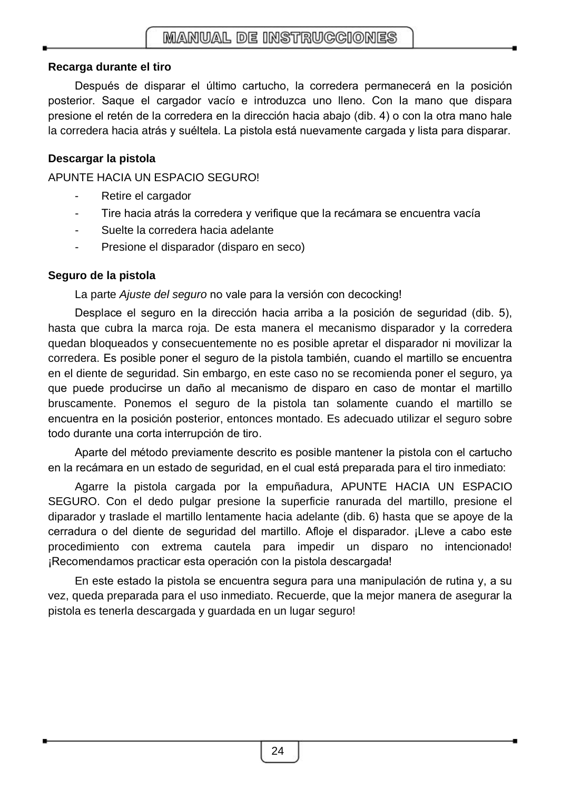## **Recarga durante el tiro**

Después de disparar el último cartucho, la corredera permanecerá en la posición posterior. Saque el cargador vacío e introduzca uno lleno. Con la mano que dispara presione el retén de la corredera en la dirección hacia abajo (dib. 4) o con la otra mano hale la corredera hacia atrás y suéltela. La pistola está nuevamente cargada y lista para disparar.

### **Descargar la pistola**

APUNTE HACIA UN ESPACIO SEGURO!

- Retire el cargador
- Tire hacia atrás la corredera y verifique que la recámara se encuentra vacía
- Suelte la corredera hacia adelante
- Presione el disparador (disparo en seco)

### **Seguro de la pistola**

La parte *Ajuste del seguro* no vale para la versión con decocking!

Desplace el seguro en la dirección hacia arriba a la posición de seguridad (dib. 5), hasta que cubra la marca roja. De esta manera el mecanismo disparador y la corredera quedan bloqueados y consecuentemente no es posible apretar el disparador ni movilizar la corredera. Es posible poner el seguro de la pistola también, cuando el martillo se encuentra en el diente de seguridad. Sin embargo, en este caso no se recomienda poner el seguro, ya que puede producirse un daño al mecanismo de disparo en caso de montar el martillo bruscamente. Ponemos el seguro de la pistola tan solamente cuando el martillo se encuentra en la posición posterior, entonces montado. Es adecuado utilizar el seguro sobre todo durante una corta interrupción de tiro.

Aparte del método previamente descrito es posible mantener la pistola con el cartucho en la recámara en un estado de seguridad, en el cual está preparada para el tiro inmediato:

Agarre la pistola cargada por la empuñadura, APUNTE HACIA UN ESPACIO SEGURO. Con el dedo pulgar presione la superficie ranurada del martillo, presione el diparador y traslade el martillo lentamente hacia adelante (dib. 6) hasta que se apoye de la cerradura o del diente de seguridad del martillo. Afloje el disparador. ¡Lleve a cabo este procedimiento con extrema cautela para impedir un disparo no intencionado! ¡Recomendamos practicar esta operación con la pistola descargada!

En este estado la pistola se encuentra segura para una manipulación de rutina y, a su vez, queda preparada para el uso inmediato. Recuerde, que la mejor manera de asegurar la pistola es tenerla descargada y guardada en un lugar seguro!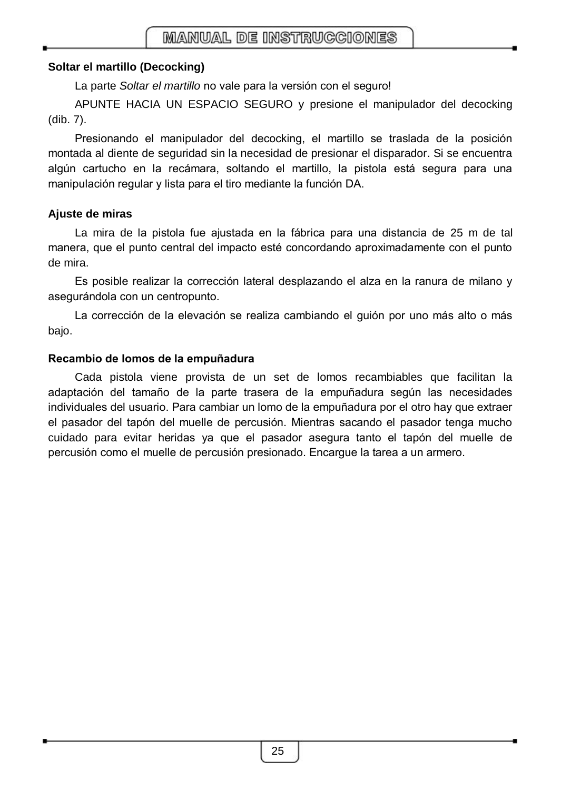## **Soltar el martillo (Decocking)**

La parte *Soltar el martillo* no vale para la versión con el seguro!

APUNTE HACIA UN ESPACIO SEGURO y presione el manipulador del decocking (dib. 7).

Presionando el manipulador del decocking, el martillo se traslada de la posición montada al diente de seguridad sin la necesidad de presionar el disparador. Si se encuentra algún cartucho en la recámara, soltando el martillo, la pistola está segura para una manipulación regular y lista para el tiro mediante la función DA.

### **Ajuste de miras**

La mira de la pistola fue ajustada en la fábrica para una distancia de 25 m de tal manera, que el punto central del impacto esté concordando aproximadamente con el punto de mira.

Es posible realizar la corrección lateral desplazando el alza en la ranura de milano y asegurándola con un centropunto.

La corrección de la elevación se realiza cambiando el guión por uno más alto o más bajo.

### **Recambio de lomos de la empuñadura**

Cada pistola viene provista de un set de lomos recambiables que facilitan la adaptación del tamaño de la parte trasera de la empuñadura según las necesidades individuales del usuario. Para cambiar un lomo de la empuñadura por el otro hay que extraer el pasador del tapón del muelle de percusión. Mientras sacando el pasador tenga mucho cuidado para evitar heridas ya que el pasador asegura tanto el tapón del muelle de percusión como el muelle de percusión presionado. Encargue la tarea a un armero.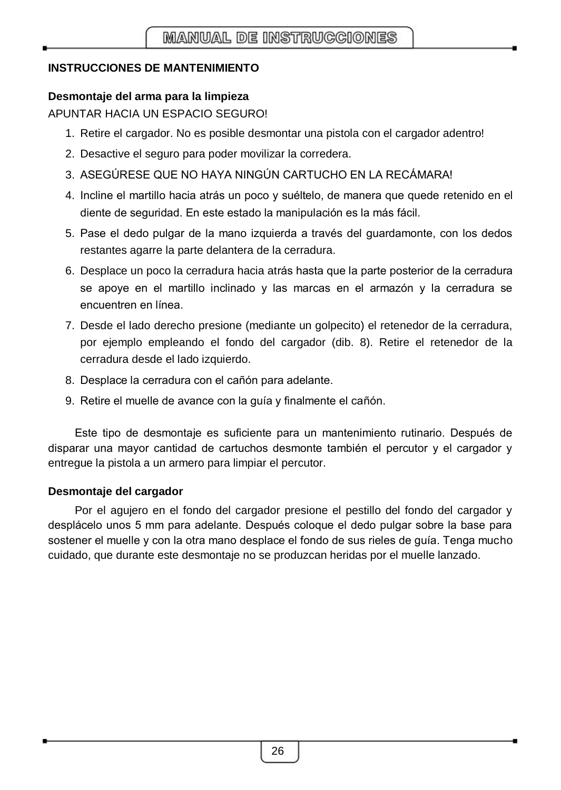## **INSTRUCCIONES DE MANTENIMIENTO**

## **Desmontaje del arma para la limpieza**

APUNTAR HACIA UN ESPACIO SEGURO!

- 1. Retire el cargador. No es posible desmontar una pistola con el cargador adentro!
- 2. Desactive el seguro para poder movilizar la corredera.
- 3. ASEGÚRESE QUE NO HAYA NINGÚN CARTUCHO EN LA RECÁMARA!
- 4. Incline el martillo hacia atrás un poco y suéltelo, de manera que quede retenido en el diente de seguridad. En este estado la manipulación es la más fácil.
- 5. Pase el dedo pulgar de la mano izquierda a través del guardamonte, con los dedos restantes agarre la parte delantera de la cerradura.
- 6. Desplace un poco la cerradura hacia atrás hasta que la parte posterior de la cerradura se apoye en el martillo inclinado y las marcas en el armazón y la cerradura se encuentren en línea.
- 7. Desde el lado derecho presione (mediante un golpecito) el retenedor de la cerradura, por ejemplo empleando el fondo del cargador (dib. 8). Retire el retenedor de la cerradura desde el lado izquierdo.
- 8. Desplace la cerradura con el cañón para adelante.
- 9. Retire el muelle de avance con la guía y finalmente el cañón.

Este tipo de desmontaje es suficiente para un mantenimiento rutinario. Después de disparar una mayor cantidad de cartuchos desmonte también el percutor y el cargador y entregue la pistola a un armero para limpiar el percutor.

# **Desmontaje del cargador**

Por el aguiero en el fondo del cargador presione el pestillo del fondo del cargador y desplácelo unos 5 mm para adelante. Después coloque el dedo pulgar sobre la base para sostener el muelle y con la otra mano desplace el fondo de sus rieles de guía. Tenga mucho cuidado, que durante este desmontaje no se produzcan heridas por el muelle lanzado.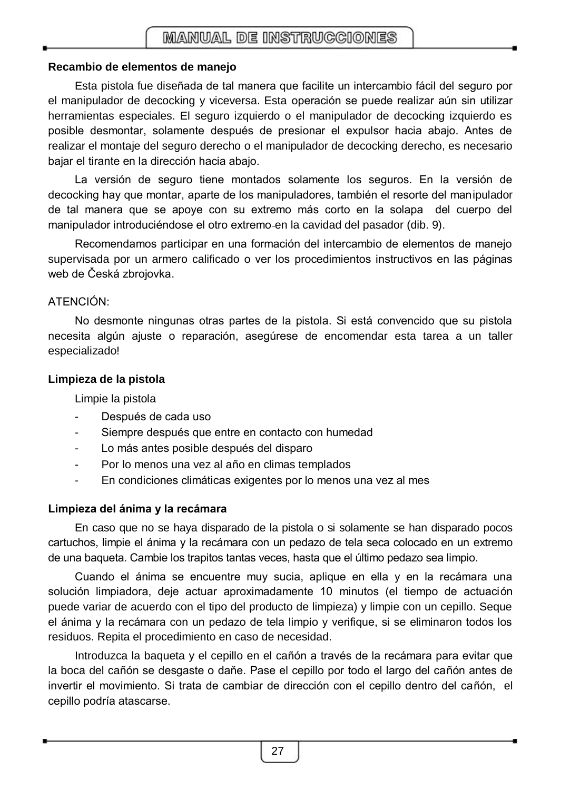## **Recambio de elementos de manejo**

Esta pistola fue diseñada de tal manera que facilite un intercambio fácil del seguro por el manipulador de decocking y viceversa. Esta operación se puede realizar aún sin utilizar herramientas especiales. El seguro izquierdo o el manipulador de decocking izquierdo es posible desmontar, solamente después de presionar el expulsor hacia abajo. Antes de realizar el montaje del seguro derecho o el manipulador de decocking derecho, es necesario bajar el tirante en la dirección hacia abajo.

La versión de seguro tiene montados solamente los seguros. En la versión de decocking hay que montar, aparte de los manipuladores, también el resorte del manipulador de tal manera que se apoye con su extremo más corto en la solapa del cuerpo del manipulador introduciéndose el otro extremo en la cavidad del pasador (dib. 9).

Recomendamos participar en una formación del intercambio de elementos de manejo supervisada por un armero calificado o ver los procedimientos instructivos en las páginas web de Česká zbrojovka.

### ATENCIÓN:

No desmonte ningunas otras partes de la pistola. Si está convencido que su pistola necesita algún ajuste o reparación, asegúrese de encomendar esta tarea a un taller especializado!

### **Limpieza de la pistola**

Limpie la pistola

- Después de cada uso
- Siempre después que entre en contacto con humedad
- Lo más antes posible después del disparo
- Por lo menos una vez al año en climas templados
- En condiciones climáticas exigentes por lo menos una vez al mes

### **Limpieza del ánima y la recámara**

En caso que no se haya disparado de la pistola o si solamente se han disparado pocos cartuchos, limpie el ánima y la recámara con un pedazo de tela seca colocado en un extremo de una baqueta. Cambie los trapitos tantas veces, hasta que el último pedazo sea limpio.

Cuando el ánima se encuentre muy sucia, aplique en ella y en la recámara una solución limpiadora, deje actuar aproximadamente 10 minutos (el tiempo de actuación puede variar de acuerdo con el tipo del producto de limpieza) y limpie con un cepillo. Seque el ánima y la recámara con un pedazo de tela limpio y verifique, si se eliminaron todos los residuos. Repita el procedimiento en caso de necesidad.

Introduzca la baqueta y el cepillo en el cañón a través de la recámara para evitar que la boca del cañón se desgaste o daňe. Pase el cepillo por todo el largo del cañón antes de invertir el movimiento. Si trata de cambiar de dirección con el cepillo dentro del cañón, el cepillo podría atascarse.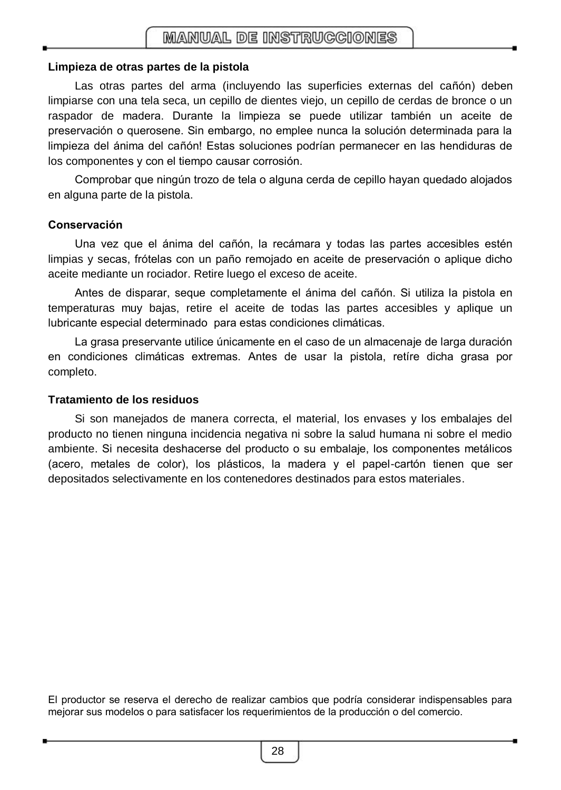### **Limpieza de otras partes de la pistola**

Las otras partes del arma (incluyendo las superficies externas del cañón) deben limpiarse con una tela seca, un cepillo de dientes viejo, un cepillo de cerdas de bronce o un raspador de madera. Durante la limpieza se puede utilizar también un aceite de preservación o querosene. Sin embargo, no emplee nunca la solución determinada para la limpieza del ánima del cañón! Estas soluciones podrían permanecer en las hendiduras de los componentes y con el tiempo causar corrosión.

Comprobar que ningún trozo de tela o alguna cerda de cepillo hayan quedado alojados en alguna parte de la pistola.

### **Conservación**

Una vez que el ánima del cañón, la recámara y todas las partes accesibles estén limpias y secas, frótelas con un paño remojado en aceite de preservación o aplique dicho aceite mediante un rociador. Retire luego el exceso de aceite.

Antes de disparar, seque completamente el ánima del cañón. Si utiliza la pistola en temperaturas muy bajas, retire el aceite de todas las partes accesibles y aplique un lubricante especial determinado para estas condiciones climáticas.

La grasa preservante utilice únicamente en el caso de un almacenaje de larga duración en condiciones climáticas extremas. Antes de usar la pistola, retíre dicha grasa por completo.

### **Tratamiento de los residuos**

Si son manejados de manera correcta, el material, los envases y los embalajes del producto no tienen ninguna incidencia negativa ni sobre la salud humana ni sobre el medio ambiente. Si necesita deshacerse del producto o su embalaje, los componentes metálicos (acero, metales de color), los plásticos, la madera y el papel-cartón tienen que ser depositados selectivamente en los contenedores destinados para estos materiales.

El productor se reserva el derecho de realizar cambios que podría considerar indispensables para mejorar sus modelos o para satisfacer los requerimientos de la producción o del comercio.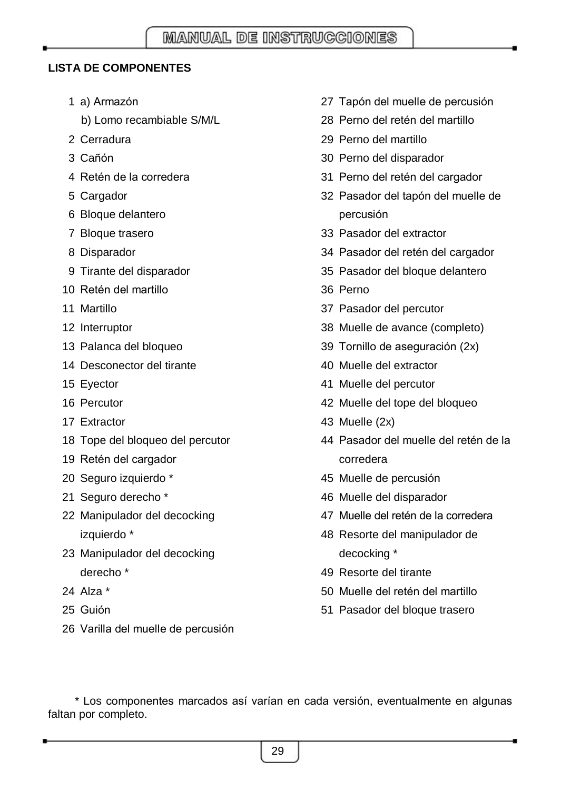## **LISTA DE COMPONENTES**

- a) Armazón
	- b) Lomo recambiable S/M/L
- Cerradura
- Cañón
- Retén de la corredera
- Cargador
- Bloque delantero
- Bloque trasero
- Disparador
- Tirante del disparador
- Retén del martillo
- Martillo
- Interruptor
- Palanca del bloqueo
- Desconector del tirante
- Eyector
- Percutor
- Extractor
- Tope del bloqueo del percutor
- Retén del cargador
- Seguro izquierdo \*
- Seguro derecho \*
- Manipulador del decocking izquierdo \*
- Manipulador del decocking derecho \*
- Alza \*
- Guión
- Varilla del muelle de percusión
- Tapón del muelle de percusión
- Perno del retén del martillo
- Perno del martillo
- Perno del disparador
- Perno del retén del cargador
- Pasador del tapón del muelle de percusión
- Pasador del extractor
- Pasador del retén del cargador
- Pasador del bloque delantero
- Perno
- Pasador del percutor
- Muelle de avance (completo)
- Tornillo de aseguración (2x)
- Muelle del extractor
- Muelle del percutor
- Muelle del tope del bloqueo
- Muelle (2x)
- Pasador del muelle del retén de la corredera
- Muelle de percusión
- Muelle del disparador
- Muelle del retén de la corredera
- Resorte del manipulador de decocking \*
- Resorte del tirante
- Muelle del retén del martillo
- Pasador del bloque trasero

\* Los componentes marcados así varían en cada versión, eventualmente en algunas faltan por completo.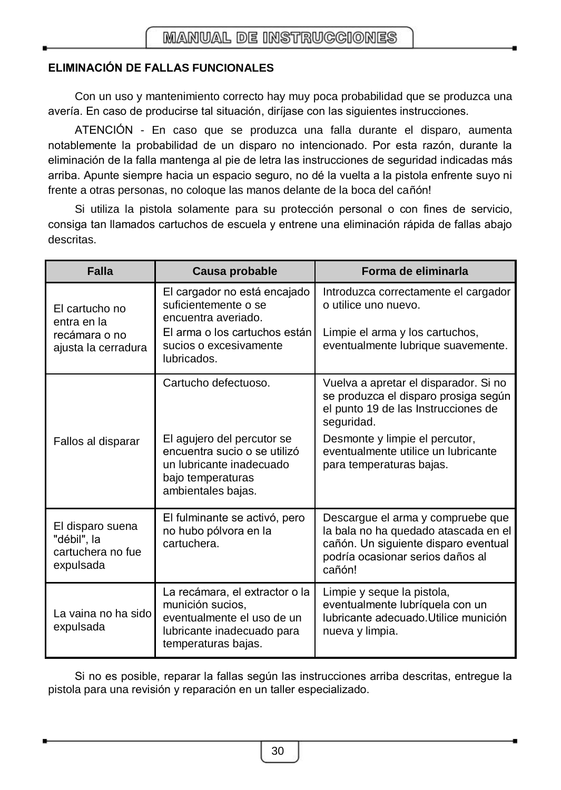## **ELIMINACIÓN DE FALLAS FUNCIONALES**

Con un uso y mantenimiento correcto hay muy poca probabilidad que se produzca una avería. En caso de producirse tal situación, diríjase con las siguientes instrucciones.

ATENCIÓN - En caso que se produzca una falla durante el disparo, aumenta notablemente la probabilidad de un disparo no intencionado. Por esta razón, durante la eliminación de la falla mantenga al pie de letra las instrucciones de seguridad indicadas más arriba. Apunte siempre hacia un espacio seguro, no dé la vuelta a la pistola enfrente suyo ni frente a otras personas, no coloque las manos delante de la boca del cañón!

Si utiliza la pistola solamente para su protección personal o con fines de servicio, consiga tan llamados cartuchos de escuela y entrene una eliminación rápida de fallas abajo descritas.

| Falla                                                             | Causa probable                                                                                                                        | Forma de eliminarla                                                                                                                                             |
|-------------------------------------------------------------------|---------------------------------------------------------------------------------------------------------------------------------------|-----------------------------------------------------------------------------------------------------------------------------------------------------------------|
| El cartucho no<br>entra en la                                     | El cargador no está encajado<br>suficientemente o se<br>encuentra averiado.                                                           | Introduzca correctamente el cargador<br>o utilice uno nuevo.                                                                                                    |
| recámara o no<br>ajusta la cerradura                              | El arma o los cartuchos están<br>sucios o excesivamente<br>lubricados.                                                                | Limpie el arma y los cartuchos,<br>eventualmente lubrique suavemente.                                                                                           |
|                                                                   | Cartucho defectuoso.                                                                                                                  | Vuelva a apretar el disparador. Si no<br>se produzca el disparo prosiga según<br>el punto 19 de las Instrucciones de<br>seguridad.                              |
| Fallos al disparar                                                | El agujero del percutor se<br>encuentra sucio o se utilizó<br>un lubricante inadecuado<br>bajo temperaturas<br>ambientales bajas.     | Desmonte y limpie el percutor,<br>eventualmente utilice un lubricante<br>para temperaturas bajas.                                                               |
| El disparo suena<br>"débil". la<br>cartuchera no fue<br>expulsada | El fulminante se activó, pero<br>no hubo pólvora en la<br>cartuchera.                                                                 | Descargue el arma y compruebe que<br>la bala no ha quedado atascada en el<br>cañón. Un siguiente disparo eventual<br>podría ocasionar serios daños al<br>cañón! |
| La vaina no ha sido<br>expulsada                                  | La recámara, el extractor o la<br>munición sucios.<br>eventualmente el uso de un<br>lubricante inadecuado para<br>temperaturas bajas. | Limpie y seque la pistola,<br>eventualmente lubríquela con un<br>lubricante adecuado. Utilice munición<br>nueva y limpia.                                       |

Si no es posible, reparar la fallas según las instrucciones arriba descritas, entregue la pistola para una revisión y reparación en un taller especializado.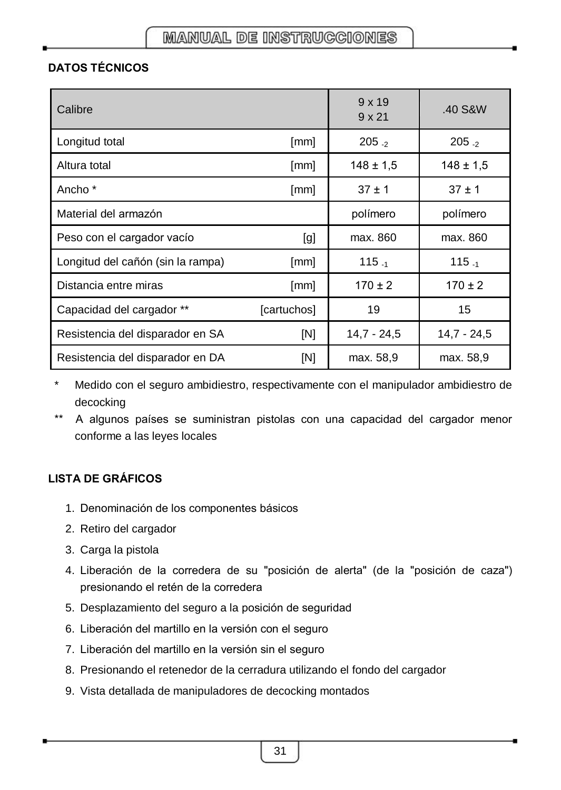# **DATOS TÉCNICOS**

| Calibre                           |             | 9x19<br>$9 \times 21$ | .40 S&W       |
|-----------------------------------|-------------|-----------------------|---------------|
| Longitud total                    | [mm]        | 205.2                 | 205.2         |
| Altura total                      | [mm]        | $148 \pm 1.5$         | $148 \pm 1.5$ |
| Ancho <sup>*</sup>                | [mm]        | $37 \pm 1$            | $37 + 1$      |
| Material del armazón              |             | polímero              | polímero      |
| Peso con el cargador vacío        | [g]         | max. 860              | max. 860      |
| Longitud del cañón (sin la rampa) | [mm]        | 115.1                 | 115.1         |
| Distancia entre miras             | [mm]        | $170 \pm 2$           | $170 \pm 2$   |
| Capacidad del cargador **         | [cartuchos] | 19                    | 15            |
| Resistencia del disparador en SA  | [N]         | $14,7 - 24,5$         | $14,7 - 24,5$ |
| Resistencia del disparador en DA  | [N]         | max. 58,9             | max. 58,9     |

- \* Medido con el seguro ambidiestro, respectivamente con el manipulador ambidiestro de decocking
- \*\* A algunos países se suministran pistolas con una capacidad del cargador menor conforme a las leyes locales

# **LISTA DE GRÁFICOS**

- 1. Denominación de los componentes básicos
- 2. Retiro del cargador
- 3. Carga la pistola
- 4. Liberación de la corredera de su "posición de alerta" (de la "posición de caza") presionando el retén de la corredera
- 5. Desplazamiento del seguro a la posición de seguridad
- 6. Liberación del martillo en la versión con el seguro
- 7. Liberación del martillo en la versión sin el seguro
- 8. Presionando el retenedor de la cerradura utilizando el fondo del cargador
- 9. Vista detallada de manipuladores de decocking montados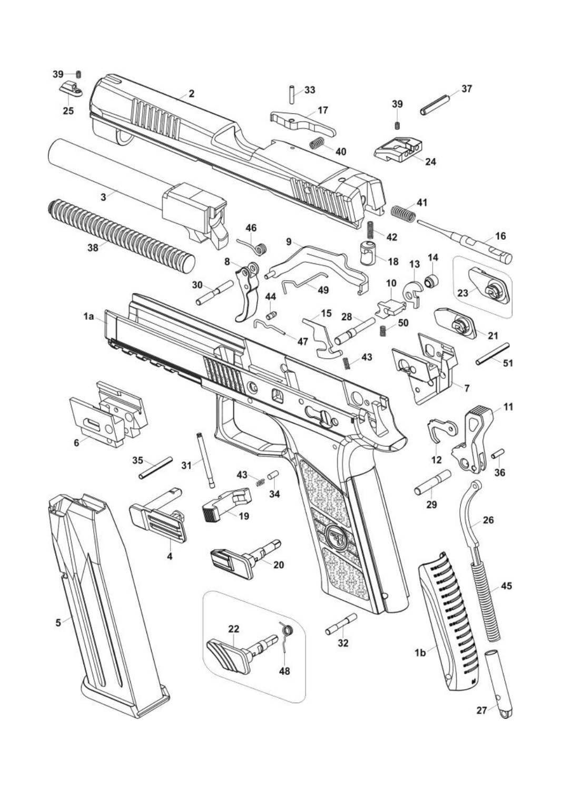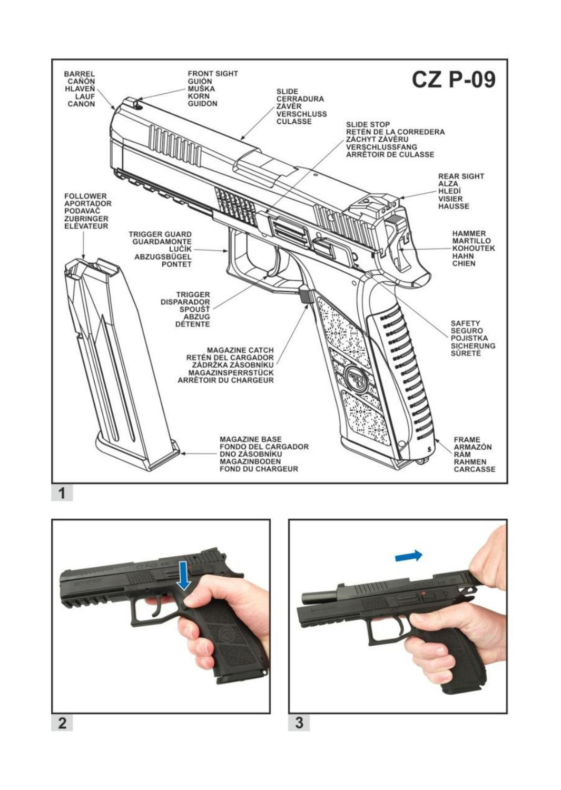